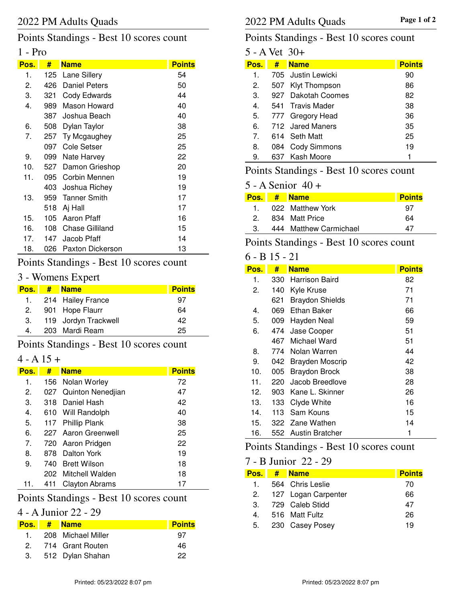## Points Standings - Best 10 scores count

#### 1 - Pro

| Pos. | #     | <b>Name</b>         | <b>Points</b> |
|------|-------|---------------------|---------------|
| 1.   | 125   | Lane Sillery        | 54            |
| 2.   | 426   | Daniel Peters       | 50            |
| 3.   | 321   | Cody Edwards        | 44            |
| 4.   | 989   | Mason Howard        | 40            |
|      | 387   | Joshua Beach        | 40            |
| 6.   | 508   | Dylan Taylor        | 38            |
| 7.   | 257   | Ty Mcgaughey        | 25            |
|      | 097   | Cole Setser         | 25            |
| 9.   | 099   | Nate Harvey         | 22            |
| 10.  | 527   | Damon Grieshop      | 20            |
| 11.  | 095   | Corbin Mennen       | 19            |
|      | 403 - | Joshua Richey       | 19            |
| 13.  | 959   | <b>Tanner Smith</b> | 17            |
|      | 518   | Aj Hall             | 17            |
| 15.  | 105   | Aaron Pfaff         | 16            |
| 16.  | 108   | Chase Gilliland     | 15            |
| 17.  | 147   | Jacob Pfaff         | 14            |
| 18.  | 026   | Paxton Dickerson    | 13            |

## Points Standings - Best 10 scores count

## 3 - Womens Expert

| Pos. | $#$ Name             | <b>Points</b> |
|------|----------------------|---------------|
|      | 1. 214 Hailey France | 97            |
| 2.   | 901 Hope Flaurr      | 64            |
| 3.   | 119 Jordyn Trackwell | 42            |
| 4.   | 203 Mardi Ream       | 25            |

## Points Standings - Best 10 scores count

#### $4 - A 15 +$

| Pos. | #    | <b>Name</b>           | <b>Points</b> |
|------|------|-----------------------|---------------|
| 1.   |      | 156 Nolan Worley      | 72            |
| 2.   |      | 027 Quinton Nenedjian | 47            |
| 3.   | 318  | Daniel Hash           | 42            |
| 4.   |      | 610 Will Randolph     | 40            |
| 5.   | 117  | <b>Phillip Plank</b>  | 38            |
| 6.   |      | 227 Aaron Greenwell   | 25            |
| 7.   |      | 720 Aaron Pridgen     | 22            |
| 8.   | 878  | Dalton York           | 19            |
| 9.   | 740. | <b>Brett Wilson</b>   | 18            |
|      |      | 202 Mitchell Walden   | 18            |
| 11.  | 411  | <b>Clayton Abrams</b> | 17            |
|      |      |                       |               |

## Points Standings - Best 10 scores count

### 4 - A Junior 22 - 29

|  | Pos. # Name           | <b>Points</b> |
|--|-----------------------|---------------|
|  | 1. 208 Michael Miller | 97            |
|  | 2. 714 Grant Routen   | 46            |
|  | 3. 512 Dylan Shahan   | 22            |

## Points Standings - Best 10 scores count

| 5 - A Vet 30+  |     |                     |               |
|----------------|-----|---------------------|---------------|
| Pos.           | #   | <b>Name</b>         | <b>Points</b> |
| 1.             |     | 705 Justin Lewicki  | 90            |
| 2.             | 507 | Klyt Thompson       | 86            |
| 3.             |     | 927 Dakotah Coomes  | 82            |
| 4.             |     | 541 Travis Mader    | 38            |
| 5.             |     | 777 Gregory Head    | 36            |
| 6.             |     | 712 Jared Maners    | 35            |
| $\overline{7}$ |     | 614 Seth Matt       | 25            |
| 8.             | 084 | <b>Cody Simmons</b> | 19            |
| 9.             |     | 637 Kash Moore      | 1             |

## Points Standings - Best 10 scores count

#### 5 - A Senior 40 +

|              | Pos. # Name            | <b>Points</b> |
|--------------|------------------------|---------------|
| $\mathbf{1}$ | 022 Matthew York       | 97            |
| 2            | 834 Matt Price         | 64            |
| -3.          | 444 Matthew Carmichael | 47            |

## Points Standings - Best 10 scores count

#### 6 - B 15 - 21

| Pos. | #     | <b>Name</b>            | <b>Points</b> |
|------|-------|------------------------|---------------|
| 1.   | 330 - | Harrison Baird         | 82            |
| 2.   | 140   | Kyle Kruse             | 71            |
|      | 621   | <b>Braydon Shields</b> | 71            |
| 4.   | 069   | Ethan Baker            | 66            |
| 5.   | 009 - | Hayden Neal            | 59            |
| 6.   | 474   | Jase Cooper            | 51            |
|      | 467   | Michael Ward           | 51            |
| 8.   | 774   | Nolan Warren           | 44            |
| 9.   | 042   | <b>Brayden Moscrip</b> | 42            |
| 10.  | 005   | <b>Braydon Brock</b>   | 38            |
| 11.  | 220.  | Jacob Breedlove        | 28            |
| 12.  | 903   | Kane L. Skinner        | 26            |
| 13.  | 133.  | Clyde White            | 16            |
| 14.  | 113   | Sam Kouns              | 15            |
| 15.  | 322.  | Zane Wathen            | 14            |
| 16.  | 552   | <b>Austin Bratcher</b> | 1             |

## Points Standings - Best 10 scores count

#### 7 - B Junior 22 - 29

| Pos. I           | # Name                 | <b>Points</b> |
|------------------|------------------------|---------------|
| $\overline{1}$ . | 564 Chris Leslie       | 70            |
|                  | 2. 127 Logan Carpenter | 66            |
| $3_{-}$          | 729 Caleb Stidd        | 47            |
| 4.               | 516 Matt Fultz         | 26            |
| 5.               | 230 Casey Posey        | 19            |